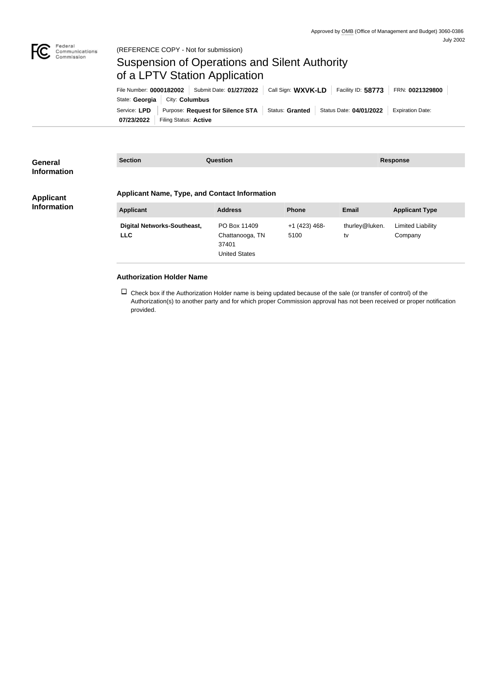

(REFERENCE COPY - Not for submission)

## Suspension of Operations and Silent Authority of a LPTV Station Application

| File Number: 0000182002   Submit Date: 01/27/2022 |                                 |                                                                                             | Call Sign: WXVK-LD |  | Facility ID: $58773$ | FRN: 0021329800         |
|---------------------------------------------------|---------------------------------|---------------------------------------------------------------------------------------------|--------------------|--|----------------------|-------------------------|
|                                                   | State: Georgia   City: Columbus |                                                                                             |                    |  |                      |                         |
|                                                   |                                 | Service: LPD   Purpose: Request for Silence STA   Status: Granted   Status Date: 04/01/2022 |                    |  |                      | <b>Expiration Date:</b> |
| 07/23/2022                                        | Filing Status: Active           |                                                                                             |                    |  |                      |                         |

| General<br><b>Information</b>          | <b>Section</b><br><b>Question</b>                    |                      |                 | <b>Response</b> |                          |  |
|----------------------------------------|------------------------------------------------------|----------------------|-----------------|-----------------|--------------------------|--|
|                                        |                                                      |                      |                 |                 |                          |  |
| <b>Applicant</b><br><b>Information</b> | <b>Applicant Name, Type, and Contact Information</b> |                      |                 |                 |                          |  |
|                                        | <b>Applicant</b>                                     | <b>Address</b>       | <b>Phone</b>    | <b>Email</b>    | <b>Applicant Type</b>    |  |
|                                        | <b>Digital Networks-Southeast,</b>                   | PO Box 11409         | $+1$ (423) 468- | thurley@luken.  | <b>Limited Liability</b> |  |
|                                        | <b>LLC</b>                                           | Chattanooga, TN      | 5100            | tv              | Company                  |  |
|                                        |                                                      | 37401                |                 |                 |                          |  |
|                                        |                                                      | <b>United States</b> |                 |                 |                          |  |
|                                        |                                                      |                      |                 |                 |                          |  |

## **Authorization Holder Name**

 $\Box$  Check box if the Authorization Holder name is being updated because of the sale (or transfer of control) of the Authorization(s) to another party and for which proper Commission approval has not been received or proper notification provided.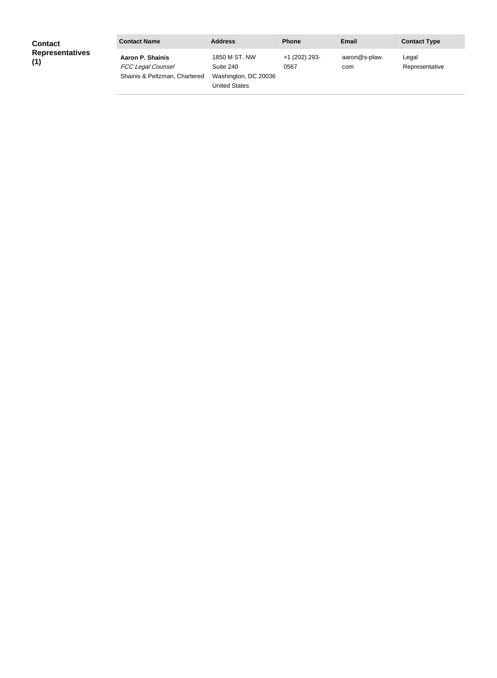| <b>Contact</b><br><b>Representatives</b><br>(1) | <b>Contact Name</b>                                                    | <b>Address</b>                                                             | <b>Phone</b>          | Email                | <b>Contact Type</b>     |
|-------------------------------------------------|------------------------------------------------------------------------|----------------------------------------------------------------------------|-----------------------|----------------------|-------------------------|
|                                                 | Aaron P. Shainis<br>FCC Legal Counsel<br>Shainis & Peltzman, Chartered | 1850 M ST. NW<br>Suite 240<br>Washington, DC 20036<br><b>United States</b> | +1 (202) 293-<br>0567 | aaron@s-plaw.<br>com | Legal<br>Representative |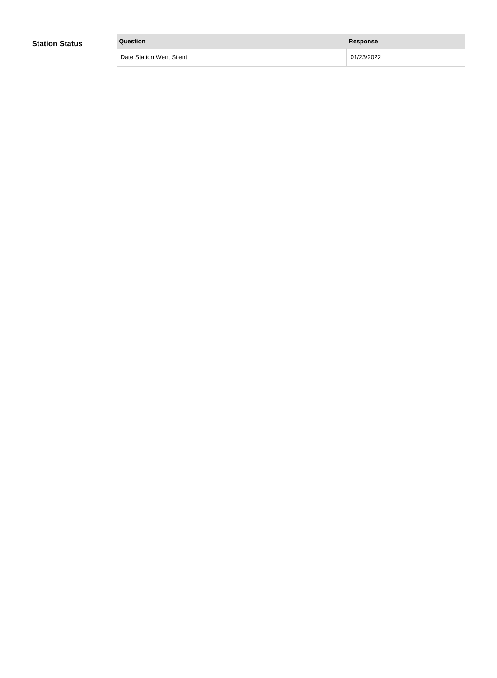| <b>Station Status</b> | Question                 | Response   |
|-----------------------|--------------------------|------------|
|                       | Date Station Went Silent | 01/23/2022 |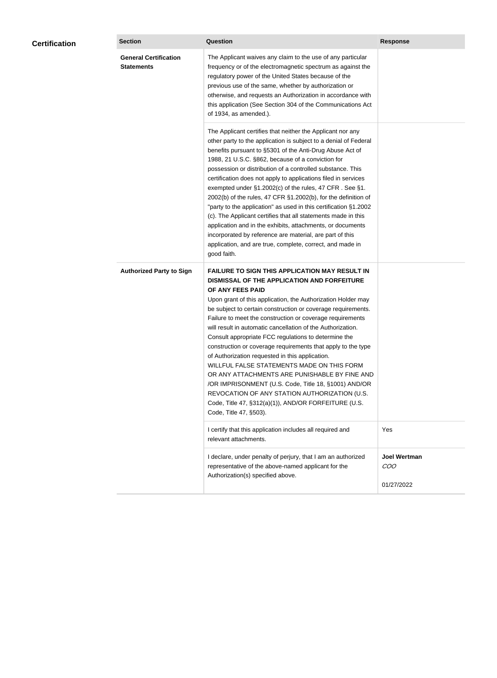| <b>Certification</b> | <b>Section</b>                                    | <b>Question</b>                                                                                                                                                                                                                                                                                                                                                                                                                                                                                                                                                                                                                                                                                                                                                                                                                                           | <b>Response</b>                          |
|----------------------|---------------------------------------------------|-----------------------------------------------------------------------------------------------------------------------------------------------------------------------------------------------------------------------------------------------------------------------------------------------------------------------------------------------------------------------------------------------------------------------------------------------------------------------------------------------------------------------------------------------------------------------------------------------------------------------------------------------------------------------------------------------------------------------------------------------------------------------------------------------------------------------------------------------------------|------------------------------------------|
|                      | <b>General Certification</b><br><b>Statements</b> | The Applicant waives any claim to the use of any particular<br>frequency or of the electromagnetic spectrum as against the<br>regulatory power of the United States because of the<br>previous use of the same, whether by authorization or<br>otherwise, and requests an Authorization in accordance with<br>this application (See Section 304 of the Communications Act<br>of 1934, as amended.).                                                                                                                                                                                                                                                                                                                                                                                                                                                       |                                          |
|                      |                                                   | The Applicant certifies that neither the Applicant nor any<br>other party to the application is subject to a denial of Federal<br>benefits pursuant to §5301 of the Anti-Drug Abuse Act of<br>1988, 21 U.S.C. §862, because of a conviction for<br>possession or distribution of a controlled substance. This<br>certification does not apply to applications filed in services<br>exempted under §1.2002(c) of the rules, 47 CFR. See §1.<br>2002(b) of the rules, 47 CFR §1.2002(b), for the definition of<br>"party to the application" as used in this certification §1.2002<br>(c). The Applicant certifies that all statements made in this<br>application and in the exhibits, attachments, or documents<br>incorporated by reference are material, are part of this<br>application, and are true, complete, correct, and made in<br>good faith.   |                                          |
|                      | <b>Authorized Party to Sign</b>                   | <b>FAILURE TO SIGN THIS APPLICATION MAY RESULT IN</b><br>DISMISSAL OF THE APPLICATION AND FORFEITURE<br>OF ANY FEES PAID<br>Upon grant of this application, the Authorization Holder may<br>be subject to certain construction or coverage requirements.<br>Failure to meet the construction or coverage requirements<br>will result in automatic cancellation of the Authorization.<br>Consult appropriate FCC regulations to determine the<br>construction or coverage requirements that apply to the type<br>of Authorization requested in this application.<br>WILLFUL FALSE STATEMENTS MADE ON THIS FORM<br>OR ANY ATTACHMENTS ARE PUNISHABLE BY FINE AND<br>/OR IMPRISONMENT (U.S. Code, Title 18, §1001) AND/OR<br>REVOCATION OF ANY STATION AUTHORIZATION (U.S.<br>Code, Title 47, §312(a)(1)), AND/OR FORFEITURE (U.S.<br>Code, Title 47, §503). |                                          |
|                      |                                                   | I certify that this application includes all required and<br>relevant attachments.                                                                                                                                                                                                                                                                                                                                                                                                                                                                                                                                                                                                                                                                                                                                                                        | Yes                                      |
|                      |                                                   | I declare, under penalty of perjury, that I am an authorized<br>representative of the above-named applicant for the<br>Authorization(s) specified above.                                                                                                                                                                                                                                                                                                                                                                                                                                                                                                                                                                                                                                                                                                  | <b>Joel Wertman</b><br>COO<br>01/27/2022 |
|                      |                                                   |                                                                                                                                                                                                                                                                                                                                                                                                                                                                                                                                                                                                                                                                                                                                                                                                                                                           |                                          |